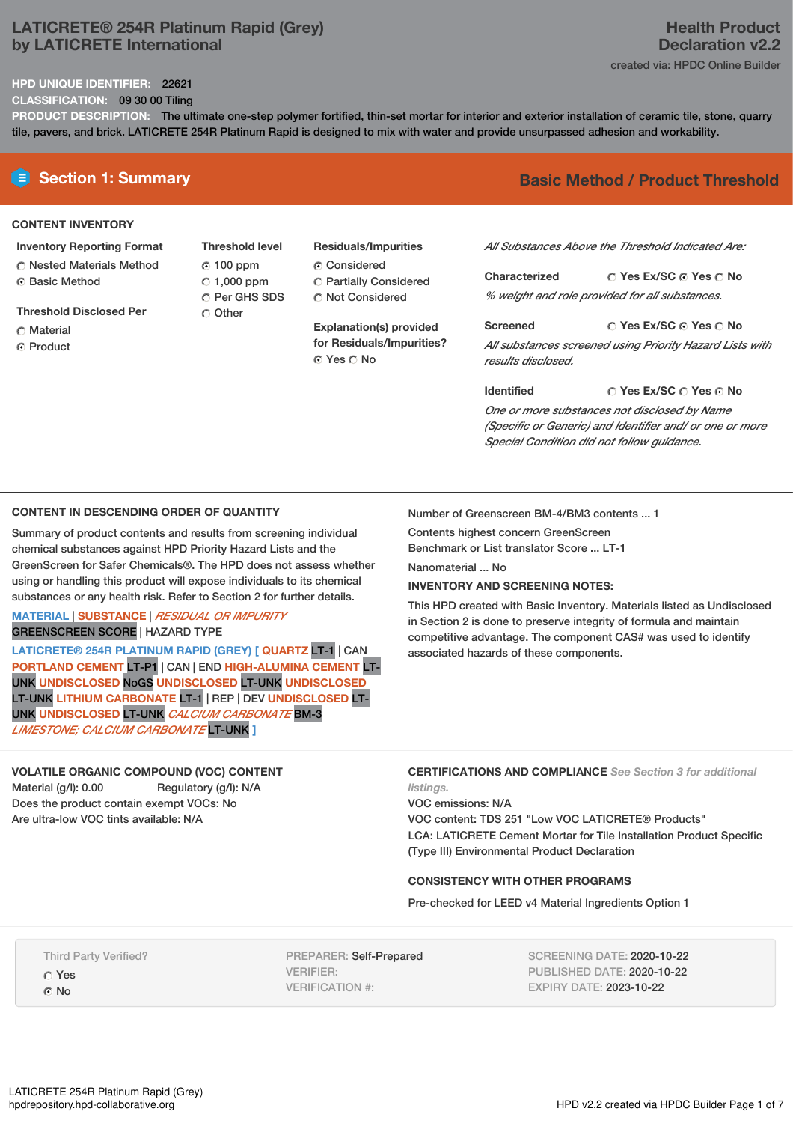# **LATICRETE® 254R Platinum Rapid (Grey) by LATICRETE International**

## **HPD UNIQUE IDENTIFIER:** 22621

**CLASSIFICATION:** 09 30 00 Tiling

**PRODUCT DESCRIPTION:** The ultimate one-step polymer fortified, thin-set mortar for interior and exterior installation of ceramic tile, stone, quarry tile, pavers, and brick. LATICRETE 254R Platinum Rapid is designed to mix with water and provide unsurpassed adhesion and workability.

## **CONTENT INVENTORY**

- **Inventory Reporting Format**
- Nested Materials Method **G** Basic Method
- **Threshold Disclosed Per**
- C Material
- **C** Product

**Threshold level** 100 ppm  $C$  1,000 ppm C Per GHS SDS C Other

**Residuals/Impurities**

- C Considered
- Partially Considered Not Considered

**Explanation(s) provided for Residuals/Impurities?** ⊙ Yes ∩ No

# **E** Section 1: Summary **Basic Method / Product Threshold**

*All Substances Above the Threshold Indicated Are:*

**Yes Ex/SC Yes No Characterized** *% weight and role provided for all substances.*

**Yes Ex/SC Yes No Screened** *All substances screened using Priority Hazard Lists with results disclosed.*

**Identified**

# **Yes Ex/SC Yes No**

*One or more substances not disclosed by Name (Specific or Generic) and Identifier and/ or one or more Special Condition did not follow guidance.*

## **CONTENT IN DESCENDING ORDER OF QUANTITY**

Summary of product contents and results from screening individual chemical substances against HPD Priority Hazard Lists and the GreenScreen for Safer Chemicals®. The HPD does not assess whether using or handling this product will expose individuals to its chemical substances or any health risk. Refer to Section 2 for further details.

**MATERIAL** | **SUBSTANCE** | *RESIDUAL OR IMPURITY* GREENSCREEN SCORE | HAZARD TYPE

**LATICRETE® 254R PLATINUM RAPID (GREY) [ QUARTZ** LT-1 | CAN **PORTLAND CEMENT** LT-P1 | CAN | END **HIGH-ALUMINA CEMENT** LT-UNK **UNDISCLOSED** NoGS **UNDISCLOSED** LT-UNK **UNDISCLOSED** LT-UNK **LITHIUM CARBONATE** LT-1 | REP | DEV **UNDISCLOSED** LT-UNK **UNDISCLOSED** LT-UNK *CALCIUM CARBONATE* BM-3 *LIMESTONE; CALCIUM CARBONATE* LT-UNK **]**

## **VOLATILE ORGANIC COMPOUND (VOC) CONTENT**

Material (g/l): 0.00 Regulatory (g/l): N/A Does the product contain exempt VOCs: No Are ultra-low VOC tints available: N/A

Number of Greenscreen BM-4/BM3 contents ... 1

Contents highest concern GreenScreen Benchmark or List translator Score ... LT-1 Nanomaterial ... No.

## **INVENTORY AND SCREENING NOTES:**

This HPD created with Basic Inventory. Materials listed as Undisclosed in Section 2 is done to preserve integrity of formula and maintain competitive advantage. The component CAS# was used to identify associated hazards of these components.

**CERTIFICATIONS AND COMPLIANCE** *See Section 3 for additional listings.*

VOC emissions: N/A VOC content: TDS 251 "Low VOC LATICRETE® Products" LCA: LATICRETE Cement Mortar for Tile Installation Product Specific (Type III) Environmental Product Declaration

## **CONSISTENCY WITH OTHER PROGRAMS**

Pre-checked for LEED v4 Material Ingredients Option 1

Third Party Verified? Yes

© No

PREPARER: Self-Prepared VERIFIER: VERIFICATION #:

SCREENING DATE: 2020-10-22 PUBLISHED DATE: 2020-10-22 EXPIRY DATE: 2023-10-22

# **Health Product Declaration v2.2** created via: HPDC Online Builder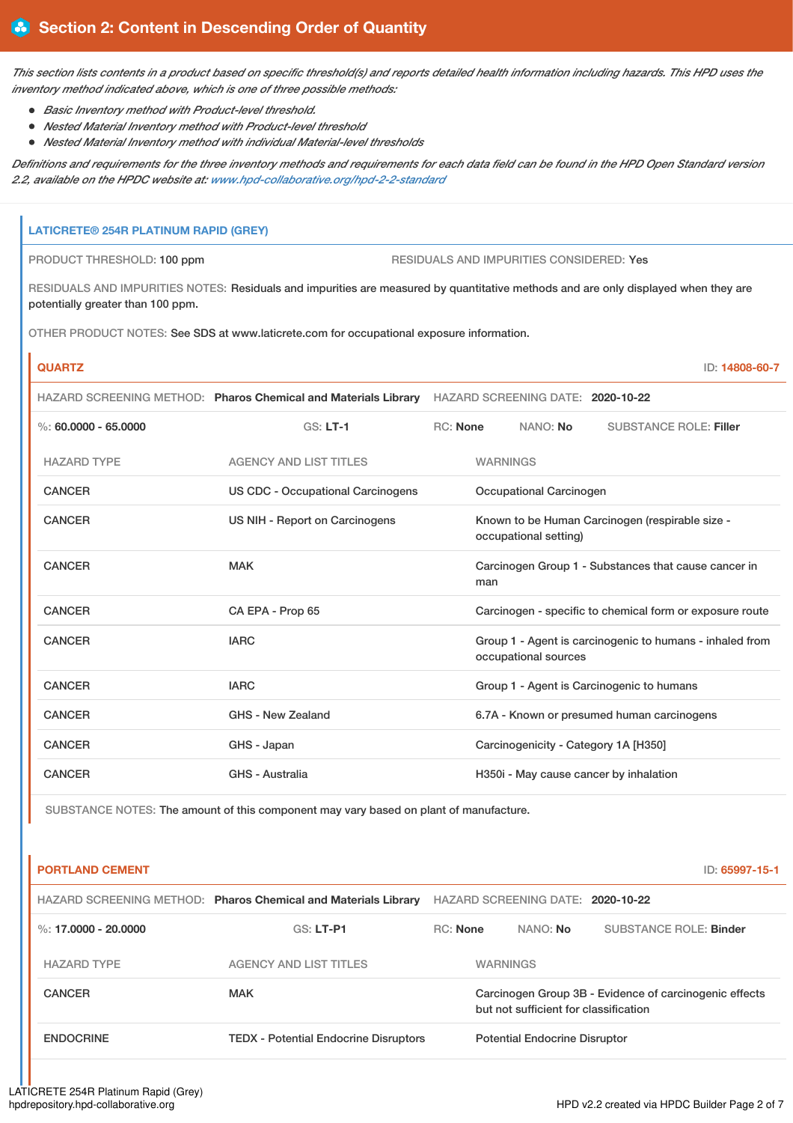This section lists contents in a product based on specific threshold(s) and reports detailed health information including hazards. This HPD uses the *inventory method indicated above, which is one of three possible methods:*

- *Basic Inventory method with Product-level threshold.*
- *Nested Material Inventory method with Product-level threshold*
- *Nested Material Inventory method with individual Material-level thresholds*

Definitions and requirements for the three inventory methods and requirements for each data field can be found in the HPD Open Standard version *2.2, available on the HPDC website at: [www.hpd-collaborative.org/hpd-2-2-standard](https://www.hpd-collaborative.org/hpd-2-2-standard)*

# **LATICRETE® 254R PLATINUM RAPID (GREY)**

PRODUCT THRESHOLD: 100 ppm RESIDUALS AND IMPURITIES CONSIDERED: Yes

RESIDUALS AND IMPURITIES NOTES: Residuals and impurities are measured by quantitative methods and are only displayed when they are potentially greater than 100 ppm.

OTHER PRODUCT NOTES: See SDS at www.laticrete.com for occupational exposure information.

| <b>QUARTZ</b>            |                                                                |                                                             |                                                                                  |                                   | ID: 14808-60-7                                           |
|--------------------------|----------------------------------------------------------------|-------------------------------------------------------------|----------------------------------------------------------------------------------|-----------------------------------|----------------------------------------------------------|
|                          | HAZARD SCREENING METHOD: Pharos Chemical and Materials Library |                                                             |                                                                                  | HAZARD SCREENING DATE: 2020-10-22 |                                                          |
| $\%$ : 60.0000 - 65.0000 | $GS: LT-1$                                                     | RC: None                                                    |                                                                                  | NANO: No                          | <b>SUBSTANCE ROLE: Filler</b>                            |
| <b>HAZARD TYPE</b>       | <b>AGENCY AND LIST TITLES</b>                                  |                                                             | <b>WARNINGS</b>                                                                  |                                   |                                                          |
| <b>CANCER</b>            | <b>US CDC - Occupational Carcinogens</b>                       | Occupational Carcinogen                                     |                                                                                  |                                   |                                                          |
| <b>CANCER</b>            | US NIH - Report on Carcinogens                                 |                                                             | Known to be Human Carcinogen (respirable size -<br>occupational setting)         |                                   |                                                          |
| CANCER                   | <b>MAK</b>                                                     | Carcinogen Group 1 - Substances that cause cancer in<br>man |                                                                                  |                                   |                                                          |
| <b>CANCER</b>            | CA EPA - Prop 65                                               |                                                             |                                                                                  |                                   | Carcinogen - specific to chemical form or exposure route |
| <b>CANCER</b>            | <b>IARC</b>                                                    |                                                             | Group 1 - Agent is carcinogenic to humans - inhaled from<br>occupational sources |                                   |                                                          |
| <b>CANCER</b>            | <b>IARC</b>                                                    | Group 1 - Agent is Carcinogenic to humans                   |                                                                                  |                                   |                                                          |
| <b>CANCER</b>            | GHS - New Zealand                                              |                                                             | 6.7A - Known or presumed human carcinogens                                       |                                   |                                                          |
| <b>CANCER</b>            | GHS - Japan                                                    |                                                             | Carcinogenicity - Category 1A [H350]                                             |                                   |                                                          |
| <b>CANCER</b>            | <b>GHS - Australia</b>                                         |                                                             |                                                                                  |                                   | H350i - May cause cancer by inhalation                   |

SUBSTANCE NOTES: The amount of this component may vary based on plant of manufacture.

| <b>PORTLAND CEMENT</b> |                                                                |                 |                                                                                                 | ID: 65997-15-1         |  |
|------------------------|----------------------------------------------------------------|-----------------|-------------------------------------------------------------------------------------------------|------------------------|--|
|                        | HAZARD SCREENING METHOD: Pharos Chemical and Materials Library |                 | HAZARD SCREENING DATE: 2020-10-22                                                               |                        |  |
| %: 17,0000 - 20,0000   | $GS: LT-PI$                                                    | <b>RC:</b> None | NANO: No                                                                                        | SUBSTANCE ROLE: Binder |  |
| <b>HAZARD TYPE</b>     | <b>AGENCY AND LIST TITLES</b>                                  |                 | <b>WARNINGS</b>                                                                                 |                        |  |
| <b>CANCER</b>          | <b>MAK</b>                                                     |                 | Carcinogen Group 3B - Evidence of carcinogenic effects<br>but not sufficient for classification |                        |  |
| <b>ENDOCRINE</b>       | <b>TEDX - Potential Endocrine Disruptors</b>                   |                 | <b>Potential Endocrine Disruptor</b>                                                            |                        |  |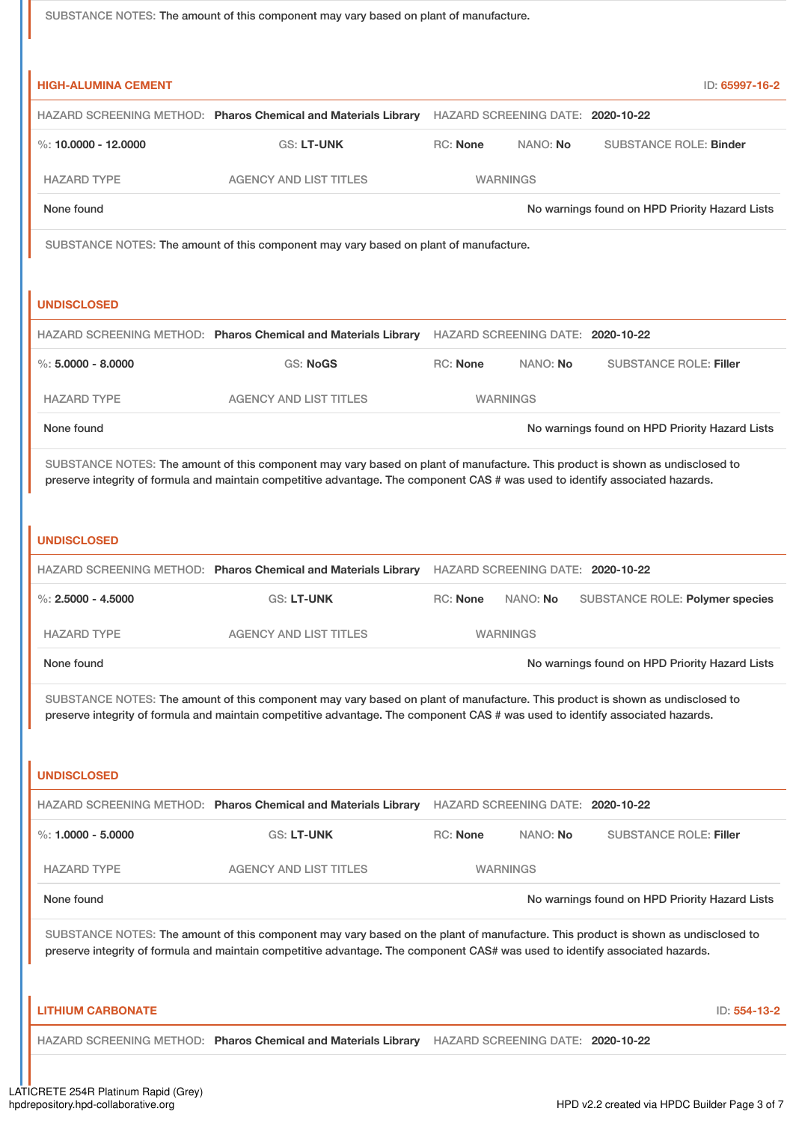| SUBSTANCE NOTES: The amount of this component may vary based on plant of manufacture.                                                                                                                                                                              |                                                                                                                                |                                                |                                   |  |                                                |
|--------------------------------------------------------------------------------------------------------------------------------------------------------------------------------------------------------------------------------------------------------------------|--------------------------------------------------------------------------------------------------------------------------------|------------------------------------------------|-----------------------------------|--|------------------------------------------------|
|                                                                                                                                                                                                                                                                    |                                                                                                                                |                                                |                                   |  |                                                |
| <b>HIGH-ALUMINA CEMENT</b>                                                                                                                                                                                                                                         |                                                                                                                                |                                                |                                   |  | ID: 65997-16-2                                 |
|                                                                                                                                                                                                                                                                    | HAZARD SCREENING METHOD: Pharos Chemical and Materials Library HAZARD SCREENING DATE: 2020-10-22                               |                                                |                                   |  |                                                |
| %: $10,0000 - 12,0000$                                                                                                                                                                                                                                             | <b>GS: LT-UNK</b>                                                                                                              | <b>RC: None</b>                                | NANO: No                          |  | <b>SUBSTANCE ROLE: Binder</b>                  |
| <b>HAZARD TYPE</b>                                                                                                                                                                                                                                                 | <b>AGENCY AND LIST TITLES</b>                                                                                                  |                                                | <b>WARNINGS</b>                   |  |                                                |
| None found                                                                                                                                                                                                                                                         |                                                                                                                                | No warnings found on HPD Priority Hazard Lists |                                   |  |                                                |
|                                                                                                                                                                                                                                                                    | SUBSTANCE NOTES: The amount of this component may vary based on plant of manufacture.                                          |                                                |                                   |  |                                                |
|                                                                                                                                                                                                                                                                    |                                                                                                                                |                                                |                                   |  |                                                |
| <b>UNDISCLOSED</b>                                                                                                                                                                                                                                                 |                                                                                                                                |                                                |                                   |  |                                                |
|                                                                                                                                                                                                                                                                    | HAZARD SCREENING METHOD: Pharos Chemical and Materials Library HAZARD SCREENING DATE: 2020-10-22                               |                                                |                                   |  |                                                |
| $\%$ : 5,0000 - 8,0000                                                                                                                                                                                                                                             | <b>GS: NoGS</b>                                                                                                                | <b>RC: None</b>                                | NANO: No                          |  | <b>SUBSTANCE ROLE: Filler</b>                  |
| <b>HAZARD TYPE</b>                                                                                                                                                                                                                                                 | <b>AGENCY AND LIST TITLES</b>                                                                                                  |                                                | <b>WARNINGS</b>                   |  |                                                |
| None found                                                                                                                                                                                                                                                         |                                                                                                                                |                                                |                                   |  | No warnings found on HPD Priority Hazard Lists |
|                                                                                                                                                                                                                                                                    | SUBSTANCE NOTES: The amount of this component may vary based on plant of manufacture. This product is shown as undisclosed to  |                                                |                                   |  |                                                |
|                                                                                                                                                                                                                                                                    | preserve integrity of formula and maintain competitive advantage. The component CAS # was used to identify associated hazards. |                                                |                                   |  |                                                |
| <b>UNDISCLOSED</b>                                                                                                                                                                                                                                                 |                                                                                                                                |                                                |                                   |  |                                                |
|                                                                                                                                                                                                                                                                    | HAZARD SCREENING METHOD: Pharos Chemical and Materials Library HAZARD SCREENING DATE: 2020-10-22                               |                                                |                                   |  |                                                |
| %: $2.5000 - 4.5000$                                                                                                                                                                                                                                               | <b>GS: LT-UNK</b>                                                                                                              |                                                | RC: None NANO: No                 |  | SUBSTANCE ROLE: Polymer species                |
| <b>HAZARD TYPE</b>                                                                                                                                                                                                                                                 | <b>AGENCY AND LIST TITLES</b>                                                                                                  |                                                | <b>WARNINGS</b>                   |  |                                                |
| None found                                                                                                                                                                                                                                                         |                                                                                                                                |                                                |                                   |  | No warnings found on HPD Priority Hazard Lists |
|                                                                                                                                                                                                                                                                    |                                                                                                                                |                                                |                                   |  |                                                |
| SUBSTANCE NOTES: The amount of this component may vary based on plant of manufacture. This product is shown as undisclosed to<br>preserve integrity of formula and maintain competitive advantage. The component CAS # was used to identify associated hazards.    |                                                                                                                                |                                                |                                   |  |                                                |
|                                                                                                                                                                                                                                                                    |                                                                                                                                |                                                |                                   |  |                                                |
| <b>UNDISCLOSED</b>                                                                                                                                                                                                                                                 |                                                                                                                                |                                                |                                   |  |                                                |
|                                                                                                                                                                                                                                                                    | HAZARD SCREENING METHOD: Pharos Chemical and Materials Library                                                                 |                                                | HAZARD SCREENING DATE: 2020-10-22 |  |                                                |
| %: $1.0000 - 5.0000$                                                                                                                                                                                                                                               | <b>GS: LT-UNK</b>                                                                                                              | RC: None                                       | NANO: No                          |  | <b>SUBSTANCE ROLE: Filler</b>                  |
| <b>HAZARD TYPE</b>                                                                                                                                                                                                                                                 | <b>AGENCY AND LIST TITLES</b>                                                                                                  |                                                | <b>WARNINGS</b>                   |  |                                                |
| None found                                                                                                                                                                                                                                                         |                                                                                                                                |                                                |                                   |  | No warnings found on HPD Priority Hazard Lists |
| SUBSTANCE NOTES: The amount of this component may vary based on the plant of manufacture. This product is shown as undisclosed to<br>preserve integrity of formula and maintain competitive advantage. The component CAS# was used to identify associated hazards. |                                                                                                                                |                                                |                                   |  |                                                |
| <b>LITHIUM CARBONATE</b>                                                                                                                                                                                                                                           |                                                                                                                                |                                                |                                   |  | ID: 554-13-2                                   |
|                                                                                                                                                                                                                                                                    | HAZARD SCREENING METHOD: Pharos Chemical and Materials Library HAZARD SCREENING DATE: 2020-10-22                               |                                                |                                   |  |                                                |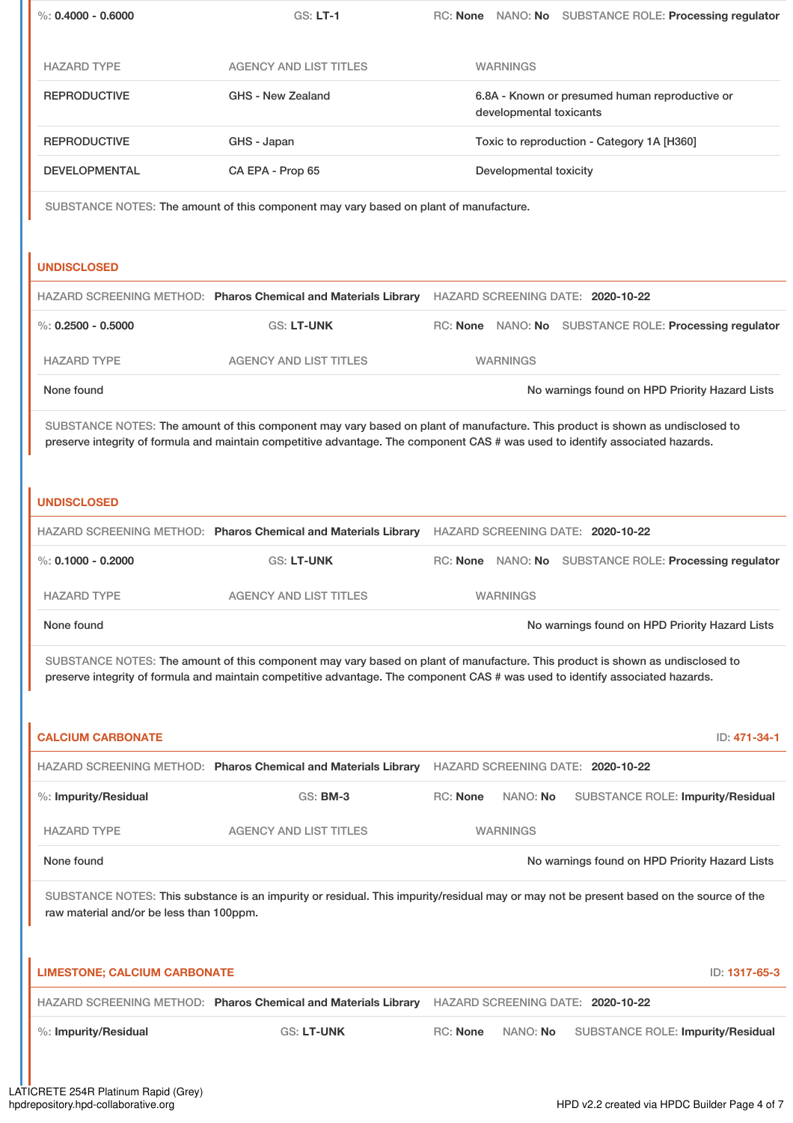| %: $0.4000 - 0.6000$                                                                                                                                                                                                                                                                  | <b>GS: LT-1</b>                                                | RC: None NANO: No SUBSTANCE ROLE: Processing regulator                                                                                                                                                                                                          |              |  |  |  |
|---------------------------------------------------------------------------------------------------------------------------------------------------------------------------------------------------------------------------------------------------------------------------------------|----------------------------------------------------------------|-----------------------------------------------------------------------------------------------------------------------------------------------------------------------------------------------------------------------------------------------------------------|--------------|--|--|--|
| <b>HAZARD TYPE</b>                                                                                                                                                                                                                                                                    | <b>AGENCY AND LIST TITLES</b>                                  | <b>WARNINGS</b>                                                                                                                                                                                                                                                 |              |  |  |  |
| <b>REPRODUCTIVE</b>                                                                                                                                                                                                                                                                   | GHS - New Zealand                                              | 6.8A - Known or presumed human reproductive or<br>developmental toxicants                                                                                                                                                                                       |              |  |  |  |
| <b>REPRODUCTIVE</b>                                                                                                                                                                                                                                                                   | GHS - Japan                                                    | Toxic to reproduction - Category 1A [H360]                                                                                                                                                                                                                      |              |  |  |  |
| <b>DEVELOPMENTAL</b>                                                                                                                                                                                                                                                                  | CA EPA - Prop 65                                               | Developmental toxicity                                                                                                                                                                                                                                          |              |  |  |  |
| SUBSTANCE NOTES: The amount of this component may vary based on plant of manufacture.                                                                                                                                                                                                 |                                                                |                                                                                                                                                                                                                                                                 |              |  |  |  |
| <b>UNDISCLOSED</b>                                                                                                                                                                                                                                                                    |                                                                | HAZARD SCREENING METHOD: Pharos Chemical and Materials Library HAZARD SCREENING DATE: 2020-10-22                                                                                                                                                                |              |  |  |  |
| $\%$ : 0.2500 - 0.5000                                                                                                                                                                                                                                                                | <b>GS: LT-UNK</b>                                              | RC: None NANO: No SUBSTANCE ROLE: Processing regulator                                                                                                                                                                                                          |              |  |  |  |
| <b>HAZARD TYPE</b>                                                                                                                                                                                                                                                                    | <b>AGENCY AND LIST TITLES</b>                                  | <b>WARNINGS</b>                                                                                                                                                                                                                                                 |              |  |  |  |
| None found                                                                                                                                                                                                                                                                            |                                                                | No warnings found on HPD Priority Hazard Lists                                                                                                                                                                                                                  |              |  |  |  |
| SUBSTANCE NOTES: The amount of this component may vary based on plant of manufacture. This product is shown as undisclosed to<br>preserve integrity of formula and maintain competitive advantage. The component CAS # was used to identify associated hazards.<br><b>UNDISCLOSED</b> |                                                                |                                                                                                                                                                                                                                                                 |              |  |  |  |
|                                                                                                                                                                                                                                                                                       |                                                                | HAZARD SCREENING METHOD: Pharos Chemical and Materials Library HAZARD SCREENING DATE: 2020-10-22                                                                                                                                                                |              |  |  |  |
|                                                                                                                                                                                                                                                                                       |                                                                |                                                                                                                                                                                                                                                                 |              |  |  |  |
| %: $0.1000 - 0.2000$                                                                                                                                                                                                                                                                  | <b>GS: LT-UNK</b>                                              | RC: None NANO: No SUBSTANCE ROLE: Processing regulator                                                                                                                                                                                                          |              |  |  |  |
| <b>HAZARD TYPE</b>                                                                                                                                                                                                                                                                    | <b>AGENCY AND LIST TITLES</b>                                  | <b>WARNINGS</b>                                                                                                                                                                                                                                                 |              |  |  |  |
| None found                                                                                                                                                                                                                                                                            |                                                                | No warnings found on HPD Priority Hazard Lists                                                                                                                                                                                                                  |              |  |  |  |
|                                                                                                                                                                                                                                                                                       |                                                                | SUBSTANCE NOTES: The amount of this component may vary based on plant of manufacture. This product is shown as undisclosed to<br>preserve integrity of formula and maintain competitive advantage. The component CAS # was used to identify associated hazards. |              |  |  |  |
| <b>CALCIUM CARBONATE</b>                                                                                                                                                                                                                                                              |                                                                |                                                                                                                                                                                                                                                                 | ID: 471-34-1 |  |  |  |
|                                                                                                                                                                                                                                                                                       |                                                                | HAZARD SCREENING METHOD: Pharos Chemical and Materials Library HAZARD SCREENING DATE: 2020-10-22                                                                                                                                                                |              |  |  |  |
| %: Impurity/Residual                                                                                                                                                                                                                                                                  | <b>GS: BM-3</b>                                                | <b>RC: None</b><br>SUBSTANCE ROLE: Impurity/Residual<br>NANO: No                                                                                                                                                                                                |              |  |  |  |
| <b>HAZARD TYPE</b>                                                                                                                                                                                                                                                                    | <b>AGENCY AND LIST TITLES</b>                                  | <b>WARNINGS</b>                                                                                                                                                                                                                                                 |              |  |  |  |
| None found                                                                                                                                                                                                                                                                            |                                                                | No warnings found on HPD Priority Hazard Lists                                                                                                                                                                                                                  |              |  |  |  |
| raw material and/or be less than 100ppm.                                                                                                                                                                                                                                              |                                                                | SUBSTANCE NOTES: This substance is an impurity or residual. This impurity/residual may or may not be present based on the source of the                                                                                                                         |              |  |  |  |
| <b>LIMESTONE; CALCIUM CARBONATE</b>                                                                                                                                                                                                                                                   |                                                                | ID: 1317-65-3                                                                                                                                                                                                                                                   |              |  |  |  |
|                                                                                                                                                                                                                                                                                       | HAZARD SCREENING METHOD: Pharos Chemical and Materials Library | HAZARD SCREENING DATE: 2020-10-22                                                                                                                                                                                                                               |              |  |  |  |
| %: Impurity/Residual                                                                                                                                                                                                                                                                  | GS: LT-UNK                                                     | <b>RC: None</b><br>NANO: No<br>SUBSTANCE ROLE: Impurity/Residual                                                                                                                                                                                                |              |  |  |  |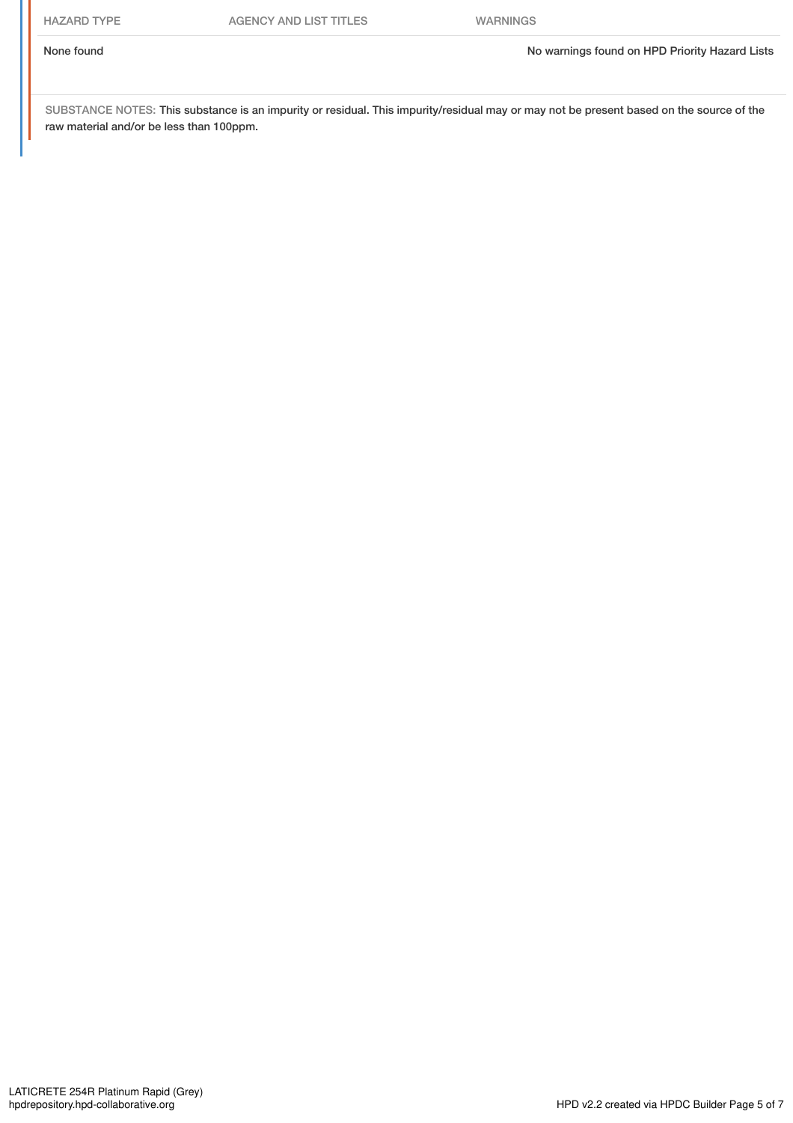SUBSTANCE NOTES: This substance is an impurity or residual. This impurity/residual may or may not be present based on the source of the raw material and/or be less than 100ppm.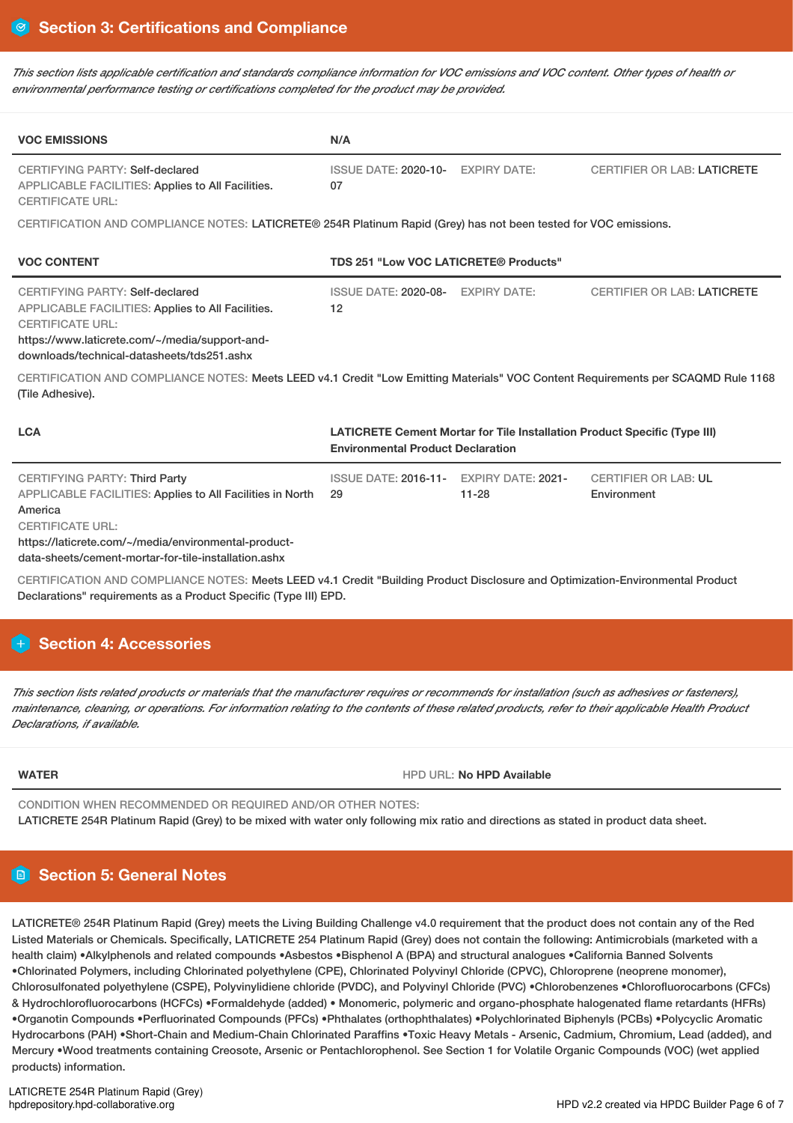This section lists applicable certification and standards compliance information for VOC emissions and VOC content. Other types of health or *environmental performance testing or certifications completed for the product may be provided.*

| <b>VOC EMISSIONS</b>                                                                                                                                                                                                                                                                                                                                                            | N/A                                                                                                                   |           |                                            |  |  |
|---------------------------------------------------------------------------------------------------------------------------------------------------------------------------------------------------------------------------------------------------------------------------------------------------------------------------------------------------------------------------------|-----------------------------------------------------------------------------------------------------------------------|-----------|--------------------------------------------|--|--|
| <b>CERTIFYING PARTY: Self-declared</b><br>APPLICABLE FACILITIES: Applies to All Facilities.<br><b>CERTIFICATE URL:</b>                                                                                                                                                                                                                                                          | ISSUE DATE: 2020-10- EXPIRY DATE:<br>07                                                                               |           | <b>CERTIFIER OR LAB: LATICRETE</b>         |  |  |
| CERTIFICATION AND COMPLIANCE NOTES: LATICRETE® 254R Platinum Rapid (Grey) has not been tested for VOC emissions.                                                                                                                                                                                                                                                                |                                                                                                                       |           |                                            |  |  |
| <b>VOC CONTENT</b>                                                                                                                                                                                                                                                                                                                                                              | TDS 251 "Low VOC LATICRETE® Products"                                                                                 |           |                                            |  |  |
| <b>CERTIFYING PARTY: Self-declared</b><br>APPLICABLE FACILITIES: Applies to All Facilities.<br><b>CERTIFICATE URL:</b><br>https://www.laticrete.com/~/media/support-and-<br>downloads/technical-datasheets/tds251.ashx<br>CERTIFICATION AND COMPLIANCE NOTES: Meets LEED v4.1 Credit "Low Emitting Materials" VOC Content Requirements per SCAQMD Rule 1168<br>(Tile Adhesive). | ISSUE DATE: 2020-08- EXPIRY DATE:<br>12                                                                               |           | <b>CERTIFIER OR LAB: LATICRETE</b>         |  |  |
| <b>LCA</b>                                                                                                                                                                                                                                                                                                                                                                      | LATICRETE Cement Mortar for Tile Installation Product Specific (Type III)<br><b>Environmental Product Declaration</b> |           |                                            |  |  |
| <b>CERTIFYING PARTY: Third Party</b><br>APPLICABLE FACILITIES: Applies to All Facilities in North<br>America<br><b>CERTIFICATE URL:</b><br>https://laticrete.com/~/media/environmental-product-<br>data-sheets/cement-mortar-for-tile-installation.ashx                                                                                                                         | ISSUE DATE: 2016-11- EXPIRY DATE: 2021-<br>29                                                                         | $11 - 28$ | <b>CERTIFIER OR LAB: UL</b><br>Environment |  |  |
| CERTIFICATION AND COMPLIANCE NOTES: Meets LEED v4.1 Credit "Building Product Disclosure and Optimization-Environmental Product<br>Declarations" requirements as a Product Specific (Type III) EPD.                                                                                                                                                                              |                                                                                                                       |           |                                            |  |  |

# **H** Section 4: Accessories

This section lists related products or materials that the manufacturer requires or recommends for installation (such as adhesives or fasteners), maintenance, cleaning, or operations. For information relating to the contents of these related products, refer to their applicable Health Product *Declarations, if available.*

**WATER HPD** URL: **No HPD** URL: **No HPD Available** 

CONDITION WHEN RECOMMENDED OR REQUIRED AND/OR OTHER NOTES: LATICRETE 254R Platinum Rapid (Grey) to be mixed with water only following mix ratio and directions as stated in product data sheet.

# **Section 5: General Notes**

LATICRETE® 254R Platinum Rapid (Grey) meets the Living Building Challenge v4.0 requirement that the product does not contain any of the Red Listed Materials or Chemicals. Specifically, LATICRETE 254 Platinum Rapid (Grey) does not contain the following: Antimicrobials (marketed with a health claim) •Alkylphenols and related compounds •Asbestos •Bisphenol A (BPA) and structural analogues •California Banned Solvents •Chlorinated Polymers, including Chlorinated polyethylene (CPE), Chlorinated Polyvinyl Chloride (CPVC), Chloroprene (neoprene monomer), Chlorosulfonated polyethylene (CSPE), Polyvinylidiene chloride (PVDC), and Polyvinyl Chloride (PVC) •Chlorobenzenes •Chlorofluorocarbons (CFCs) & Hydrochlorofluorocarbons (HCFCs) •Formaldehyde (added) • Monomeric, polymeric and organo-phosphate halogenated flame retardants (HFRs) •Organotin Compounds •Perfluorinated Compounds (PFCs) •Phthalates (orthophthalates) •Polychlorinated Biphenyls (PCBs) •Polycyclic Aromatic Hydrocarbons (PAH) •Short-Chain and Medium-Chain Chlorinated Paraffins •Toxic Heavy Metals - Arsenic, Cadmium, Chromium, Lead (added), and Mercury •Wood treatments containing Creosote, Arsenic or Pentachlorophenol. See Section 1 for Volatile Organic Compounds (VOC) (wet applied products) information.